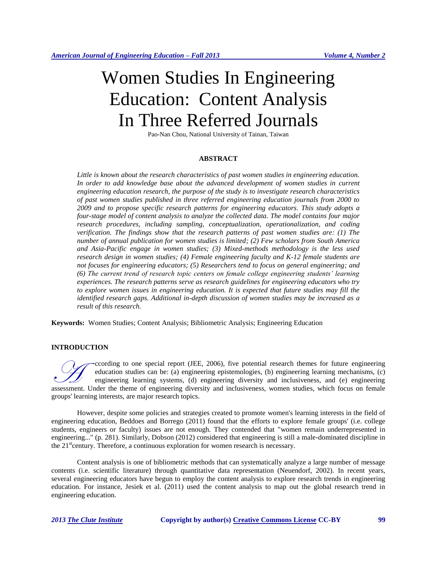# Women Studies In Engineering Education: Content Analysis In Three Referred Journals

Pao-Nan Chou, National University of Tainan, Taiwan

## **ABSTRACT**

*Little is known about the research characteristics of past women studies in engineering education.*  In order to add knowledge base about the advanced development of women studies in current *engineering education research, the purpose of the study is to investigate research characteristics of past women studies published in three referred engineering education journals from 2000 to 2009 and to propose specific research patterns for engineering educators. This study adopts a four-stage model of content analysis to analyze the collected data. The model contains four major research procedures, including sampling, conceptualization, operationalization, and coding verification. The findings show that the research patterns of past women studies are: (1) The number of annual publication for women studies is limited; (2) Few scholars from South America and Asia-Pacific engage in women studies; (3) Mixed-methods methodology is the less used research design in women studies; (4) Female engineering faculty and K-12 female students are not focuses for engineering educators; (5) Researchers tend to focus on general engineering; and (6) The current trend of research topic centers on female college engineering students' learning experiences. The research patterns serve as research guidelines for engineering educators who try to explore women issues in engineering education. It is expected that future studies may fill the identified research gaps. Additional in-depth discussion of women studies may be increased as a result of this research.*

**Keywords:** Women Studies; Content Analysis; Bibliometric Analysis; Engineering Education

## **INTRODUCTION**

ccording to one special report (JEE, 2006), five potential research themes for future engineering education studies can be: (a) engineering epistemologies, (b) engineering learning mechanisms, (c) engineering learning systems, (d) engineering diversity and inclusiveness, and (e) engineering Coording to one special report (JEE, 2006), five potential research themes for future engineering education studies can be: (a) engineering epistemologies, (b) engineering learning mechanisms, (c) engineering learning syst groups' learning interests, are major research topics.

However, despite some policies and strategies created to promote women's learning interests in the field of engineering education, Beddoes and Borrego (2011) found that the efforts to explore female groups' (i.e. college students, engineers or faculty) issues are not enough. They contended that "women remain underrepresented in engineering..." (p. 281). Similarly, Dobson (2012) considered that engineering is still a male-dominated discipline in the  $21^{\text{st}}$  century. Therefore, a continuous exploration for women research is necessary.

Content analysis is one of bibliometric methods that can systematically analyze a large number of message contents (i.e. scientific literature) through quantitative data representation (Neuendorf, 2002). In recent years, several engineering educators have begun to employ the content analysis to explore research trends in engineering education. For instance, Jesiek et al. (2011) used the content analysis to map out the global research trend in engineering education.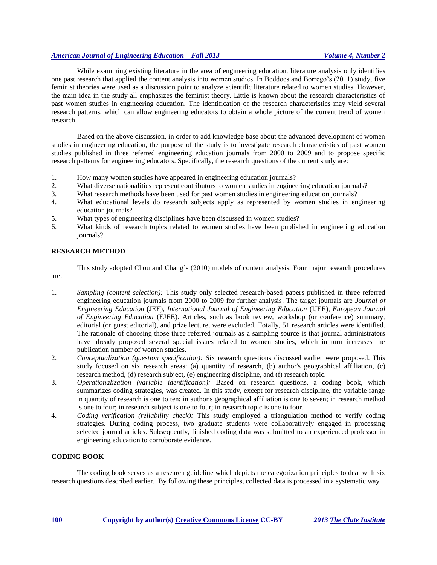# *American Journal of Engineering Education – Fall 2013 Volume 4, Number 2*

While examining existing literature in the area of engineering education, literature analysis only identifies one past research that applied the content analysis into women studies. In Beddoes and Borrego's (2011) study, five feminist theories were used as a discussion point to analyze scientific literature related to women studies. However, the main idea in the study all emphasizes the feminist theory. Little is known about the research characteristics of past women studies in engineering education. The identification of the research characteristics may yield several research patterns, which can allow engineering educators to obtain a whole picture of the current trend of women research.

Based on the above discussion, in order to add knowledge base about the advanced development of women studies in engineering education, the purpose of the study is to investigate research characteristics of past women studies published in three referred engineering education journals from 2000 to 2009 and to propose specific research patterns for engineering educators. Specifically, the research questions of the current study are:

- 1. How many women studies have appeared in engineering education journals?
- 2. What diverse nationalities represent contributors to women studies in engineering education journals?
- 3. What research methods have been used for past women studies in engineering education journals?
- 4. What educational levels do research subjects apply as represented by women studies in engineering education journals?
- 5. What types of engineering disciplines have been discussed in women studies?
- 6. What kinds of research topics related to women studies have been published in engineering education journals?

# **RESEARCH METHOD**

This study adopted Chou and Chang's (2010) models of content analysis. Four major research procedures are:

- 1. *Sampling (content selection):* This study only selected research-based papers published in three referred engineering education journals from 2000 to 2009 for further analysis. The target journals are *Journal of Engineering Education* (JEE), *International Journal of Engineering Education* (IJEE), *European Journal of Engineering Education* (EJEE). Articles, such as book review, workshop (or conference) summary, editorial (or guest editorial), and prize lecture, were excluded. Totally, 51 research articles were identified. The rationale of choosing those three referred journals as a sampling source is that journal administrators have already proposed several special issues related to women studies, which in turn increases the publication number of women studies.
- 2. *Conceptualization (question specification):* Six research questions discussed earlier were proposed. This study focused on six research areas: (a) quantity of research, (b) author's geographical affiliation, (c) research method, (d) research subject, (e) engineering discipline, and (f) research topic.
- 3. *Operationalization (variable identification):* Based on research questions, a coding book, which summarizes coding strategies, was created. In this study, except for research discipline, the variable range in quantity of research is one to ten; in author's geographical affiliation is one to seven; in research method is one to four; in research subject is one to four; in research topic is one to four.
- 4. *Coding verification (reliability check):* This study employed a triangulation method to verify coding strategies. During coding process, two graduate students were collaboratively engaged in processing selected journal articles. Subsequently, finished coding data was submitted to an experienced professor in engineering education to corroborate evidence.

# **CODING BOOK**

The coding book serves as a research guideline which depicts the categorization principles to deal with six research questions described earlier. By following these principles, collected data is processed in a systematic way.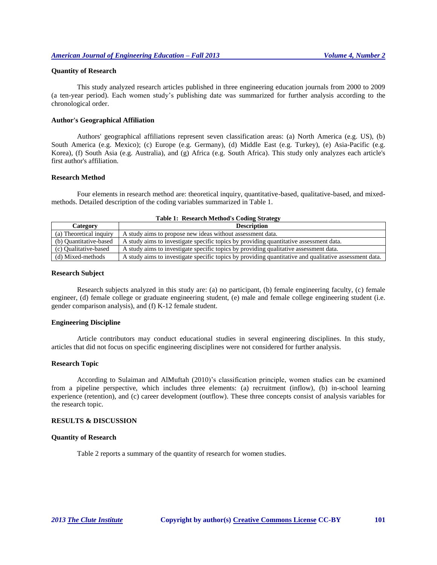#### **Quantity of Research**

This study analyzed research articles published in three engineering education journals from 2000 to 2009 (a ten-year period). Each women study's publishing date was summarized for further analysis according to the chronological order.

#### **Author's Geographical Affiliation**

Authors' geographical affiliations represent seven classification areas: (a) North America (e.g. US), (b) South America (e.g. Mexico); (c) Europe (e.g. Germany), (d) Middle East (e.g. Turkey), (e) Asia-Pacific (e.g. Korea), (f) South Asia (e.g. Australia), and (g) Africa (e.g. South Africa). This study only analyzes each article's first author's affiliation.

#### **Research Method**

Four elements in research method are: theoretical inquiry, quantitative-based, qualitative-based, and mixedmethods. Detailed description of the coding variables summarized in Table 1.

| <b>Table 1: Research Method's Coding Strategy</b> |                                                                                                        |  |  |  |
|---------------------------------------------------|--------------------------------------------------------------------------------------------------------|--|--|--|
| Category                                          | <b>Description</b>                                                                                     |  |  |  |
| (a) Theoretical inquiry                           | A study aims to propose new ideas without assessment data.                                             |  |  |  |
| (b) Quantitative-based                            | A study aims to investigate specific topics by providing quantitative assessment data.                 |  |  |  |
| (c) Oualitative-based                             | A study aims to investigate specific topics by providing qualitative assessment data.                  |  |  |  |
| (d) Mixed-methods                                 | A study aims to investigate specific topics by providing quantitative and qualitative assessment data. |  |  |  |

#### **Research Subject**

Research subjects analyzed in this study are: (a) no participant, (b) female engineering faculty, (c) female engineer, (d) female college or graduate engineering student, (e) male and female college engineering student (i.e. gender comparison analysis), and (f) K-12 female student.

## **Engineering Discipline**

Article contributors may conduct educational studies in several engineering disciplines. In this study, articles that did not focus on specific engineering disciplines were not considered for further analysis.

#### **Research Topic**

According to Sulaiman and AlMuftah (2010)'s classification principle, women studies can be examined from a pipeline perspective, which includes three elements: (a) recruitment (inflow), (b) in-school learning experience (retention), and (c) career development (outflow). These three concepts consist of analysis variables for the research topic.

#### **RESULTS & DISCUSSION**

#### **Quantity of Research**

Table 2 reports a summary of the quantity of research for women studies.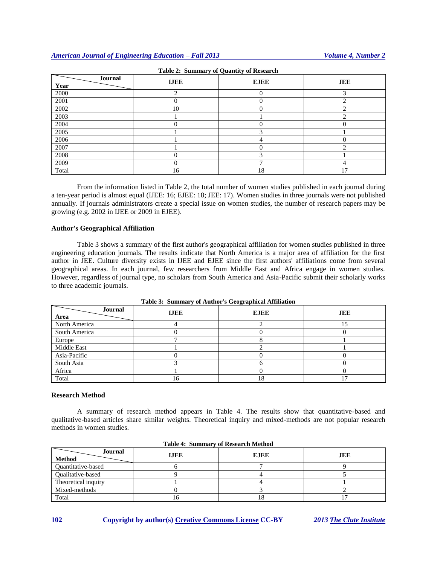| Journal<br>Year | <b>IJEE</b> | $\sim$<br>$\cdot$<br><b>EJEE</b> | <b>JEE</b>    |
|-----------------|-------------|----------------------------------|---------------|
| 2000            | ↑           |                                  | $\rightarrow$ |
| 2001            |             |                                  |               |
| 2002            | 10          |                                  |               |
| 2003            |             |                                  |               |
| 2004            | O)          |                                  |               |
| 2005            |             |                                  |               |
| 2006            |             |                                  |               |
| 2007            |             |                                  |               |
| 2008            |             |                                  |               |
| 2009            | 0           |                                  |               |
| Total           | 16          | 18                               | 17            |

**Table 2: Summary of Quantity of Research**

From the information listed in Table 2, the total number of women studies published in each journal during a ten-year period is almost equal (IJEE: 16; EJEE: 18; JEE: 17). Women studies in three journals were not published annually. If journals administrators create a special issue on women studies, the number of research papers may be growing (e.g. 2002 in IJEE or 2009 in EJEE).

## **Author's Geographical Affiliation**

Table 3 shows a summary of the first author's geographical affiliation for women studies published in three engineering education journals. The results indicate that North America is a major area of affiliation for the first author in JEE. Culture diversity exists in IJEE and EJEE since the first authors' affiliations come from several geographical areas. In each journal, few researchers from Middle East and Africa engage in women studies. However, regardless of journal type, no scholars from South America and Asia-Pacific submit their scholarly works to three academic journals.

| Journal<br>Area | <b>IJEE</b> | <b>EJEE</b> | <b>JEE</b> |
|-----------------|-------------|-------------|------------|
| North America   |             |             |            |
| South America   |             |             |            |
| Europe          |             |             |            |
| Middle East     |             |             |            |
| Asia-Pacific    |             |             |            |
| South Asia      |             |             |            |
| Africa          |             |             |            |
| Total           | 16          | 18          |            |

**Table 3: Summary of Author's Geographical Affiliation**

## **Research Method**

A summary of research method appears in Table 4. The results show that quantitative-based and qualitative-based articles share similar weights. Theoretical inquiry and mixed-methods are not popular research methods in women studies.

| Journal<br><b>Method</b>  | <b>IJEE</b> | <b>EJEE</b> | <b>JEE</b> |
|---------------------------|-------------|-------------|------------|
| <b>Ouantitative-based</b> |             |             |            |
| <b>Oualitative-based</b>  |             |             |            |
| Theoretical inquiry       |             |             |            |
| Mixed-methods             |             |             |            |
| Total                     | . U         | 10          |            |

|  |  | <b>Table 4: Summary of Research Method</b> |  |
|--|--|--------------------------------------------|--|
|--|--|--------------------------------------------|--|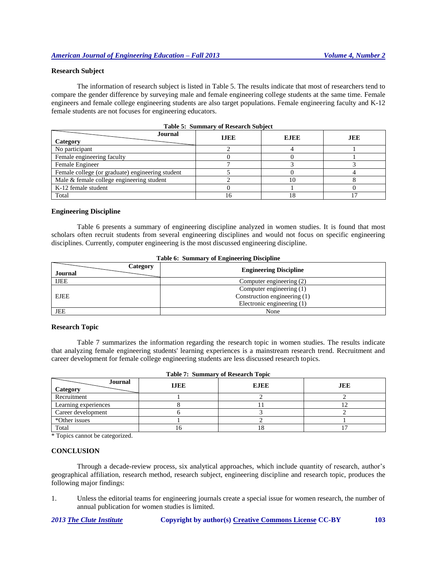# **Research Subject**

The information of research subject is listed in Table 5. The results indicate that most of researchers tend to compare the gender difference by surveying male and female engineering college students at the same time. Female engineers and female college engineering students are also target populations. Female engineering faculty and K-12 female students are not focuses for engineering educators.

| <b>Journal</b><br>Category                       | <b>IJEE</b> | <b>EJEE</b> | <b>JEE</b> |
|--------------------------------------------------|-------------|-------------|------------|
| No participant                                   |             |             |            |
| Female engineering faculty                       |             |             |            |
| Female Engineer                                  |             |             |            |
| Female college (or graduate) engineering student |             |             |            |
| Male & female college engineering student        |             |             |            |
| K-12 female student                              |             |             |            |
| Total                                            |             | . ర         |            |

| Table 5: Summary of Research Subject |  |  |
|--------------------------------------|--|--|
|--------------------------------------|--|--|

#### **Engineering Discipline**

Table 6 presents a summary of engineering discipline analyzed in women studies. It is found that most scholars often recruit students from several engineering disciplines and would not focus on specific engineering disciplines. Currently, computer engineering is the most discussed engineering discipline.

| Category<br>Journal | <b>Engineering Discipline</b> |
|---------------------|-------------------------------|
| <b>IJEE</b>         | Computer engineering (2)      |
|                     | Computer engineering (1)      |
| <b>EJEE</b>         | Construction engineering (1)  |
|                     | Electronic engineering (1)    |
| <b>JEE</b>          | None                          |

|  |  |  | Table 6: Summary of Engineering Discipline |
|--|--|--|--------------------------------------------|
|--|--|--|--------------------------------------------|

#### **Research Topic**

Table 7 summarizes the information regarding the research topic in women studies. The results indicate that analyzing female engineering students' learning experiences is a mainstream research trend. Recruitment and career development for female college engineering students are less discussed research topics.

| Journal<br>Category  | <b>IJEE</b> | <b>EJEE</b> | <b>JEE</b> |
|----------------------|-------------|-------------|------------|
| Recruitment          |             |             |            |
| Learning experiences |             |             |            |
| Career development   |             |             |            |
| *Other issues        |             |             |            |
| Total                | ΙO          |             |            |

| <b>Table 7: Summary of Research Topic</b> |  |  |  |  |
|-------------------------------------------|--|--|--|--|
|-------------------------------------------|--|--|--|--|

\* Topics cannot be categorized.

## **CONCLUSION**

Through a decade-review process, six analytical approaches, which include quantity of research, author's geographical affiliation, research method, research subject, engineering discipline and research topic, produces the following major findings:

1. Unless the editorial teams for engineering journals create a special issue for women research, the number of annual publication for women studies is limited.